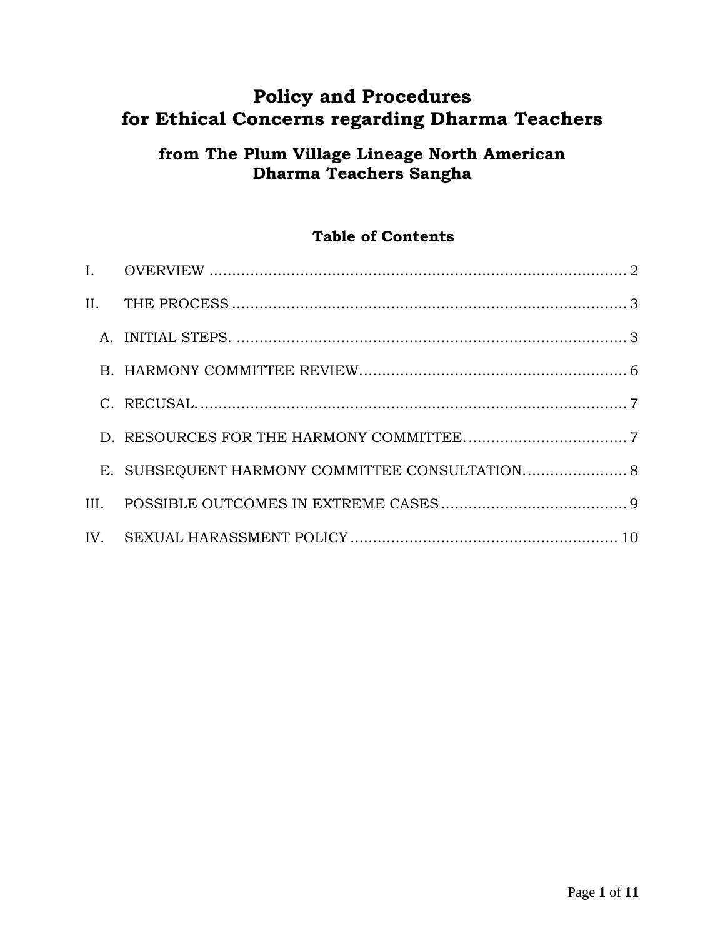# **Policy and Procedures for Ethical Concerns regarding Dharma Teachers**

## **from The Plum Village Lineage North American Dharma Teachers Sangha**

## **Table of Contents**

| E. SUBSEQUENT HARMONY COMMITTEE CONSULTATION 8 |
|------------------------------------------------|
|                                                |
|                                                |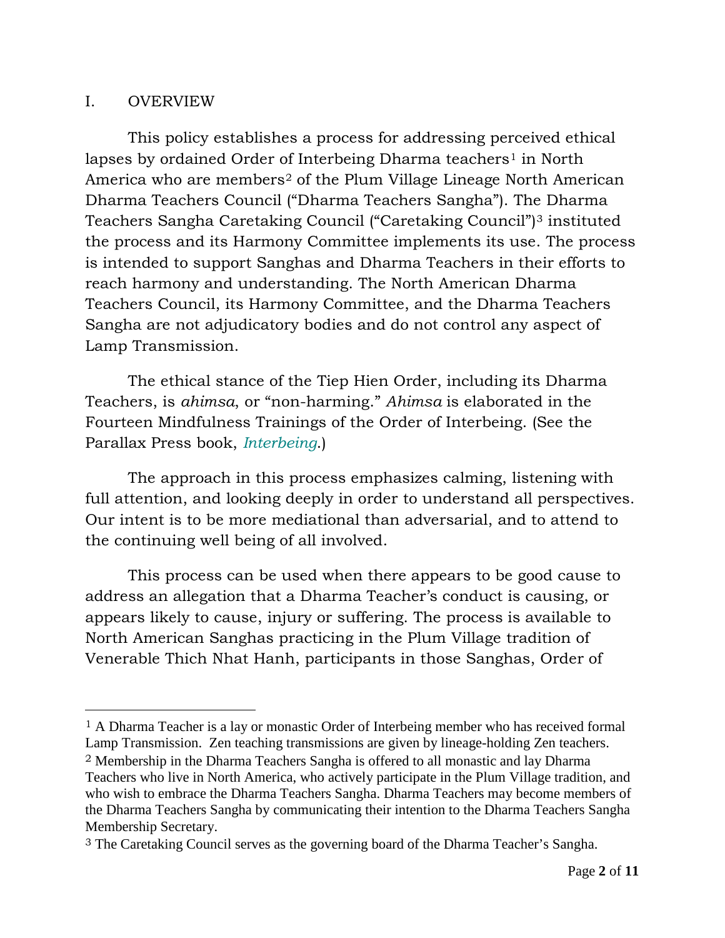#### <span id="page-1-0"></span>I. OVERVIEW

 $\overline{a}$ 

This policy establishes a process for addressing perceived ethical lapses by ordained Order of Interbeing Dharma teachers<sup>[1](#page-1-1)</sup> in North America who are members<sup>[2](#page-1-2)</sup> of the Plum Village Lineage North American Dharma Teachers Council ("Dharma Teachers Sangha"). The Dharma Teachers Sangha Caretaking Council ("Caretaking Council")[3](#page-1-3) instituted the process and its Harmony Committee implements its use. The process is intended to support Sanghas and Dharma Teachers in their efforts to reach harmony and understanding. The North American Dharma Teachers Council, its Harmony Committee, and the Dharma Teachers Sangha are not adjudicatory bodies and do not control any aspect of Lamp Transmission.

The ethical stance of the Tiep Hien Order, including its Dharma Teachers, is *ahimsa*, or "non-harming." *Ahimsa* is elaborated in the Fourteen Mindfulness Trainings of the Order of Interbeing. (See the Parallax Press book, *[Interbeing](http://www.parallax.org/cgi-bin/shopper.cgi?preadd=action&key=BOOKINBG)*.)

The approach in this process emphasizes calming, listening with full attention, and looking deeply in order to understand all perspectives. Our intent is to be more mediational than adversarial, and to attend to the continuing well being of all involved.

This process can be used when there appears to be good cause to address an allegation that a Dharma Teacher's conduct is causing, or appears likely to cause, injury or suffering. The process is available to North American Sanghas practicing in the Plum Village tradition of Venerable Thich Nhat Hanh, participants in those Sanghas, Order of

<span id="page-1-1"></span><sup>1</sup> A Dharma Teacher is a lay or monastic Order of Interbeing member who has received formal Lamp Transmission. Zen teaching transmissions are given by lineage-holding Zen teachers.

<span id="page-1-2"></span><sup>2</sup> Membership in the Dharma Teachers Sangha is offered to all monastic and lay Dharma Teachers who live in North America, who actively participate in the Plum Village tradition, and who wish to embrace the Dharma Teachers Sangha. Dharma Teachers may become members of the Dharma Teachers Sangha by communicating their intention to the Dharma Teachers Sangha Membership Secretary.

<span id="page-1-3"></span><sup>3</sup> The Caretaking Council serves as the governing board of the Dharma Teacher's Sangha.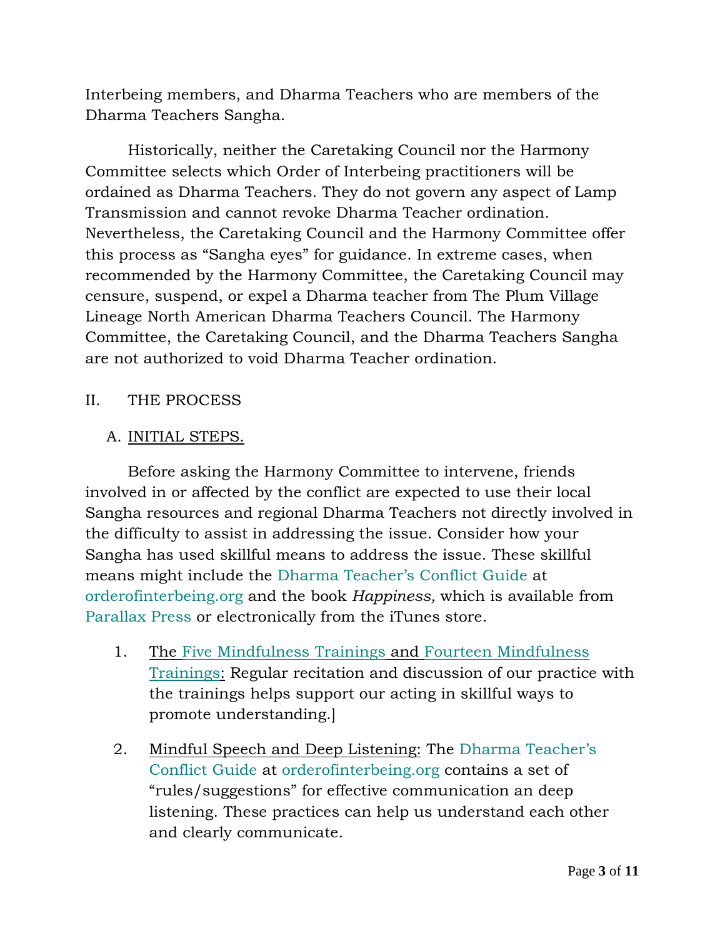Interbeing members, and Dharma Teachers who are members of the Dharma Teachers Sangha.

Historically, neither the Caretaking Council nor the Harmony Committee selects which Order of Interbeing practitioners will be ordained as Dharma Teachers. They do not govern any aspect of Lamp Transmission and cannot revoke Dharma Teacher ordination. Nevertheless, the Caretaking Council and the Harmony Committee offer this process as "Sangha eyes" for guidance. In extreme cases, when recommended by the Harmony Committee, the Caretaking Council may censure, suspend, or expel a Dharma teacher from The Plum Village Lineage North American Dharma Teachers Council. The Harmony Committee, the Caretaking Council, and the Dharma Teachers Sangha are not authorized to void Dharma Teacher ordination.

## <span id="page-2-0"></span>II. THE PROCESS

## <span id="page-2-1"></span>A. INITIAL STEPS.

Before asking the Harmony Committee to intervene, friends involved in or affected by the conflict are expected to use their local Sangha resources and regional Dharma Teachers not directly involved in the difficulty to assist in addressing the issue. Consider how your Sangha has used skillful means to address the issue. These skillful means might include the [Dharma Teacher's Conflict Guide](http://www.orderofinterbeing.org/wp-content/uploads/2013/09/Conflict-Guide.pdf) at orderofinterbeing.org and the book *Happiness,* which is available from Parallax Press or electronically from the iTunes store.

- 1. The Five [Mindfulness Trainings](http://www.orderofinterbeing.org/for-the-aspirant/five-mindfulness-trainings/) and [Fourteen Mindfulness](http://www.orderofinterbeing.org/for-the-aspirant/fourteen-mindfulness-trainings/)  [Trainings:](http://www.orderofinterbeing.org/for-the-aspirant/fourteen-mindfulness-trainings/) Regular recitation and discussion of our practice with the trainings helps support our acting in skillful ways to promote understanding.]
- 2. Mindful Speech and Deep Listening: The [Dharma Teacher's](http://www.orderofinterbeing.org/wp-content/uploads/2013/09/Conflict-Guide.pdf)  [Conflict Guide](http://www.orderofinterbeing.org/wp-content/uploads/2013/09/Conflict-Guide.pdf) at orderofinterbeing.org contains a set of "rules/suggestions" for effective communication an deep listening. These practices can help us understand each other and clearly communicate.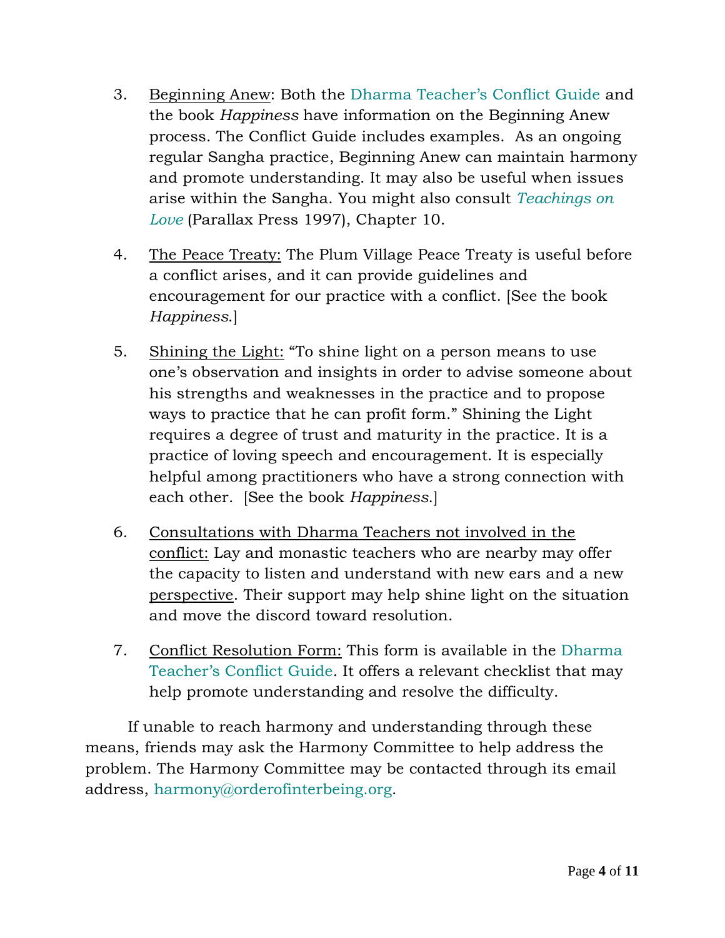- 3. Beginning Anew: Both the [Dharma Teacher's Conflict Guide](http://www.orderofinterbeing.org/wp-content/uploads/2013/09/Conflict-Guide.pdf) and the book *Happiness* have information on the Beginning Anew process. The Conflict Guide includes examples. As an ongoing regular Sangha practice, Beginning Anew can maintain harmony and promote understanding. It may also be useful when issues arise within the Sangha. You might also consult *[Teachings on](http://www.parallax.org/cgi-bin/shopper.cgi?preadd=action&key=BOOKTOL)  [Love](http://www.parallax.org/cgi-bin/shopper.cgi?preadd=action&key=BOOKTOL)* (Parallax Press 1997), Chapter 10.
- 4. The Peace Treaty: The Plum Village Peace Treaty is useful before a conflict arises, and it can provide guidelines and encouragement for our practice with a conflict. [See the book *Happiness*.]
- 5. Shining the Light: "To shine light on a person means to use one's observation and insights in order to advise someone about his strengths and weaknesses in the practice and to propose ways to practice that he can profit form." Shining the Light requires a degree of trust and maturity in the practice. It is a practice of loving speech and encouragement. It is especially helpful among practitioners who have a strong connection with each other. [See the book *Happiness*.]
- 6. Consultations with Dharma Teachers not involved in the conflict: Lay and monastic teachers who are nearby may offer the capacity to listen and understand with new ears and a new perspective. Their support may help shine light on the situation and move the discord toward resolution.
- 7. Conflict Resolution Form: This form is available in the [Dharma](http://www.orderofinterbeing.org/wp-content/uploads/2013/09/Conflict-Guide.pdf)  [Teacher's Conflict Guide.](http://www.orderofinterbeing.org/wp-content/uploads/2013/09/Conflict-Guide.pdf) It offers a relevant checklist that may help promote understanding and resolve the difficulty.

If unable to reach harmony and understanding through these means, friends may ask the Harmony Committee to help address the problem. The Harmony Committee may be contacted through its email address, [harmony@orderofinterbeing.org.](mailto:harmony@orderofinterbeing.org)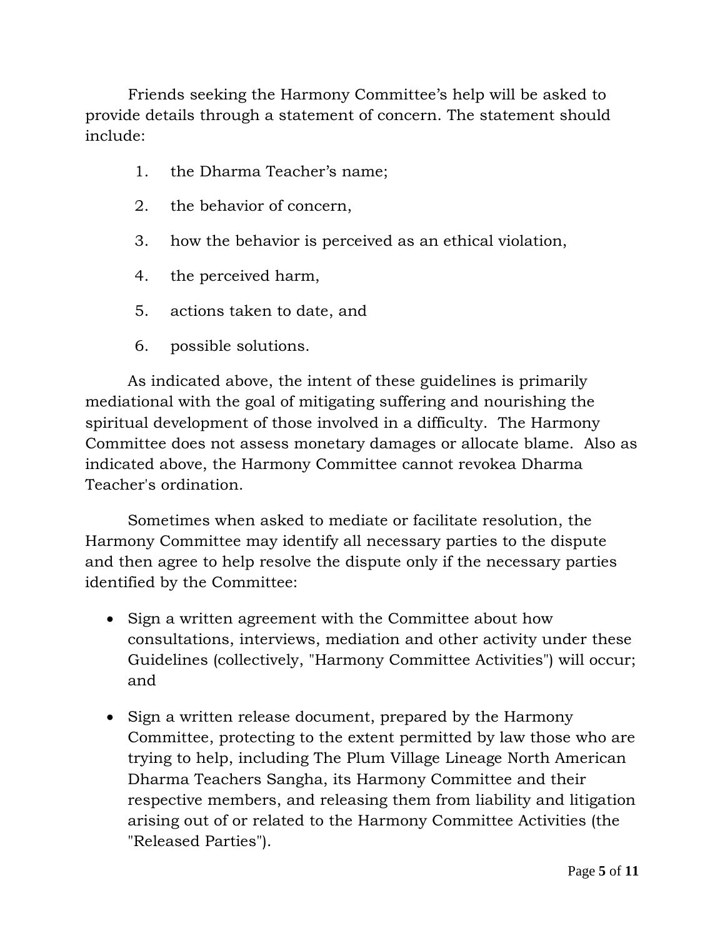Friends seeking the Harmony Committee's help will be asked to provide details through a statement of concern. The statement should include:

- 1. the Dharma Teacher's name;
- 2. the behavior of concern,
- 3. how the behavior is perceived as an ethical violation,
- 4. the perceived harm,
- 5. actions taken to date, and
- 6. possible solutions.

As indicated above, the intent of these guidelines is primarily mediational with the goal of mitigating suffering and nourishing the spiritual development of those involved in a difficulty. The Harmony Committee does not assess monetary damages or allocate blame. Also as indicated above, the Harmony Committee cannot revokea Dharma Teacher's ordination.

Sometimes when asked to mediate or facilitate resolution, the Harmony Committee may identify all necessary parties to the dispute and then agree to help resolve the dispute only if the necessary parties identified by the Committee:

- Sign a written agreement with the Committee about how consultations, interviews, mediation and other activity under these Guidelines (collectively, "Harmony Committee Activities") will occur; and
- Sign a written release document, prepared by the Harmony Committee, protecting to the extent permitted by law those who are trying to help, including The Plum Village Lineage North American Dharma Teachers Sangha, its Harmony Committee and their respective members, and releasing them from liability and litigation arising out of or related to the Harmony Committee Activities (the "Released Parties").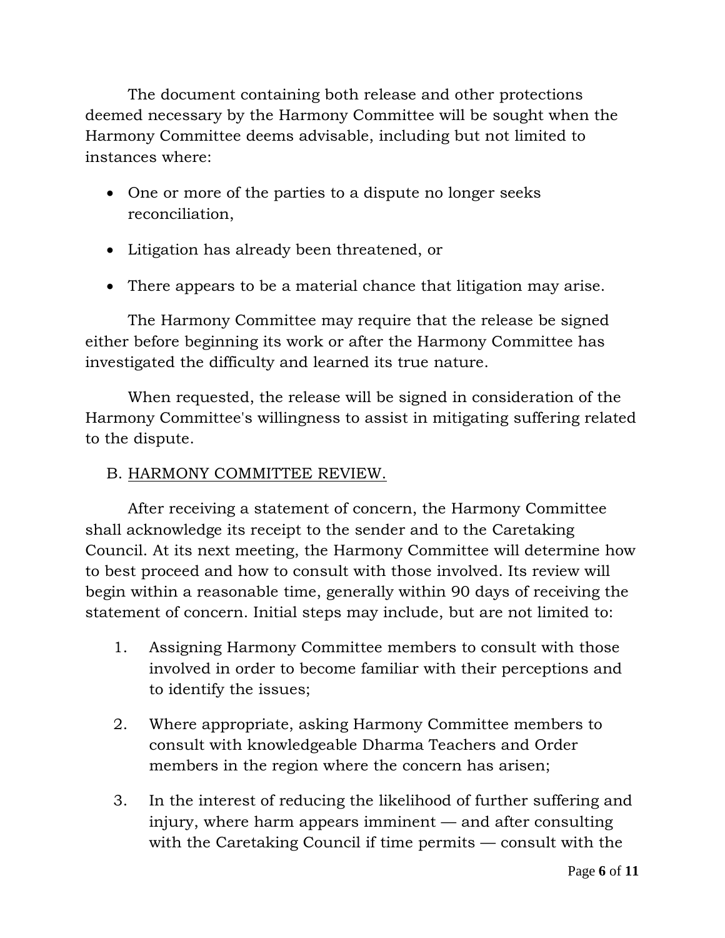The document containing both release and other protections deemed necessary by the Harmony Committee will be sought when the Harmony Committee deems advisable, including but not limited to instances where:

- One or more of the parties to a dispute no longer seeks reconciliation,
- Litigation has already been threatened, or
- There appears to be a material chance that litigation may arise.

The Harmony Committee may require that the release be signed either before beginning its work or after the Harmony Committee has investigated the difficulty and learned its true nature.

When requested, the release will be signed in consideration of the Harmony Committee's willingness to assist in mitigating suffering related to the dispute.

## <span id="page-5-0"></span>B. HARMONY COMMITTEE REVIEW.

After receiving a statement of concern, the Harmony Committee shall acknowledge its receipt to the sender and to the Caretaking Council. At its next meeting, the Harmony Committee will determine how to best proceed and how to consult with those involved. Its review will begin within a reasonable time, generally within 90 days of receiving the statement of concern. Initial steps may include, but are not limited to:

- 1. Assigning Harmony Committee members to consult with those involved in order to become familiar with their perceptions and to identify the issues;
- 2. Where appropriate, asking Harmony Committee members to consult with knowledgeable Dharma Teachers and Order members in the region where the concern has arisen;
- 3. In the interest of reducing the likelihood of further suffering and injury, where harm appears imminent — and after consulting with the Caretaking Council if time permits — consult with the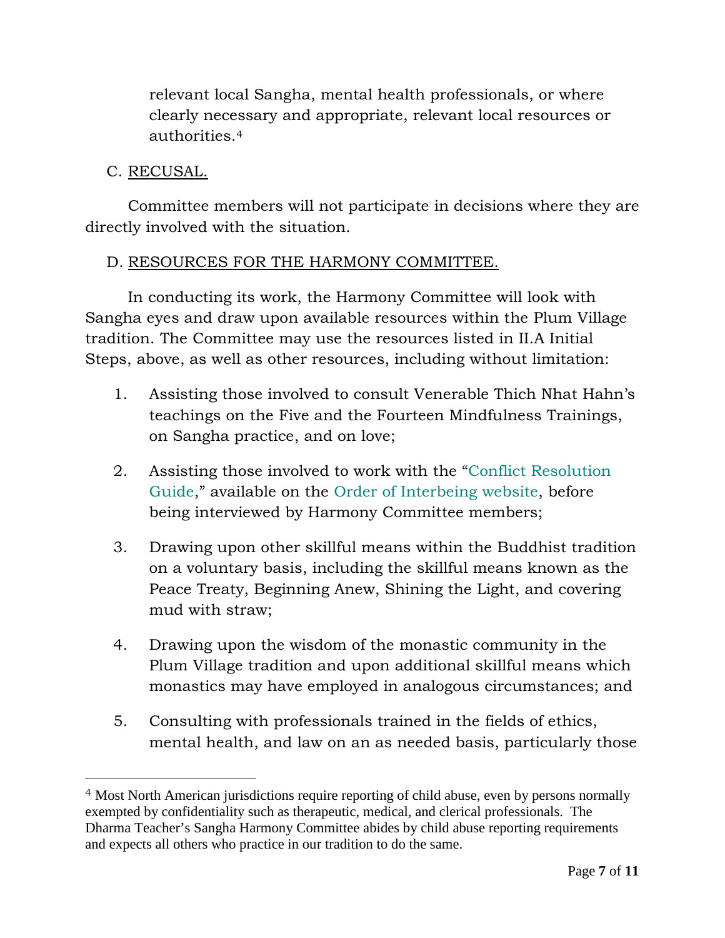relevant local Sangha, mental health professionals, or where clearly necessary and appropriate, relevant local resources or authorities.[4](#page-6-2)

## <span id="page-6-0"></span>C. RECUSAL.

 $\overline{a}$ 

Committee members will not participate in decisions where they are directly involved with the situation.

## <span id="page-6-1"></span>D. RESOURCES FOR THE HARMONY COMMITTEE.

In conducting its work, the Harmony Committee will look with Sangha eyes and draw upon available resources within the Plum Village tradition. The Committee may use the resources listed in [II.A](#page-2-1) Initial Steps, above, as well as other resources, including without limitation:

- 1. Assisting those involved to consult Venerable Thich Nhat Hahn's teachings on the Five and the Fourteen Mindfulness Trainings, on Sangha practice, and on love;
- 2. Assisting those involved to work with the ["Conflict Resolution](http://orderofinterbeing.org/docs/Conflict-Guide.pdf)  [Guide,](http://orderofinterbeing.org/docs/Conflict-Guide.pdf)" available on the [Order of Interbeing](http://www.orderofinterbeing.org/) website, before being interviewed by Harmony Committee members;
- 3. Drawing upon other skillful means within the Buddhist tradition on a voluntary basis, including the skillful means known as the Peace Treaty, Beginning Anew, Shining the Light, and covering mud with straw;
- 4. Drawing upon the wisdom of the monastic community in the Plum Village tradition and upon additional skillful means which monastics may have employed in analogous circumstances; and
- 5. Consulting with professionals trained in the fields of ethics, mental health, and law on an as needed basis, particularly those

<span id="page-6-2"></span><sup>4</sup> Most North American jurisdictions require reporting of child abuse, even by persons normally exempted by confidentiality such as therapeutic, medical, and clerical professionals. The Dharma Teacher's Sangha Harmony Committee abides by child abuse reporting requirements and expects all others who practice in our tradition to do the same.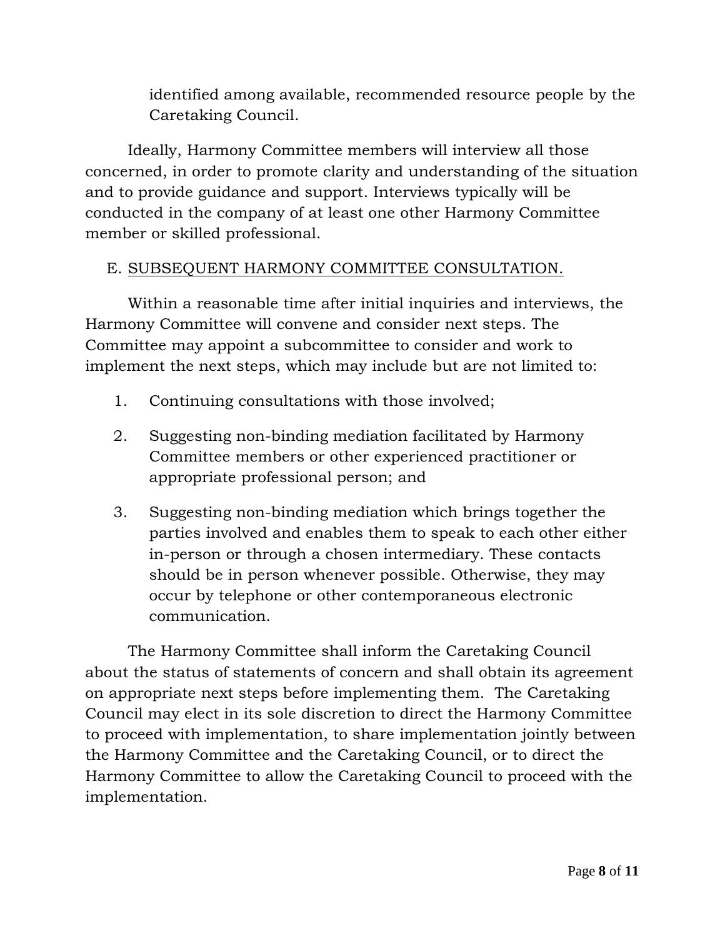identified among available, recommended resource people by the Caretaking Council.

Ideally, Harmony Committee members will interview all those concerned, in order to promote clarity and understanding of the situation and to provide guidance and support. Interviews typically will be conducted in the company of at least one other Harmony Committee member or skilled professional.

## <span id="page-7-0"></span>E. SUBSEQUENT HARMONY COMMITTEE CONSULTATION.

Within a reasonable time after initial inquiries and interviews, the Harmony Committee will convene and consider next steps. The Committee may appoint a subcommittee to consider and work to implement the next steps, which may include but are not limited to:

- 1. Continuing consultations with those involved;
- 2. Suggesting non-binding mediation facilitated by Harmony Committee members or other experienced practitioner or appropriate professional person; and
- 3. Suggesting non-binding mediation which brings together the parties involved and enables them to speak to each other either in-person or through a chosen intermediary. These contacts should be in person whenever possible. Otherwise, they may occur by telephone or other contemporaneous electronic communication.

The Harmony Committee shall inform the Caretaking Council about the status of statements of concern and shall obtain its agreement on appropriate next steps before implementing them. The Caretaking Council may elect in its sole discretion to direct the Harmony Committee to proceed with implementation, to share implementation jointly between the Harmony Committee and the Caretaking Council, or to direct the Harmony Committee to allow the Caretaking Council to proceed with the implementation.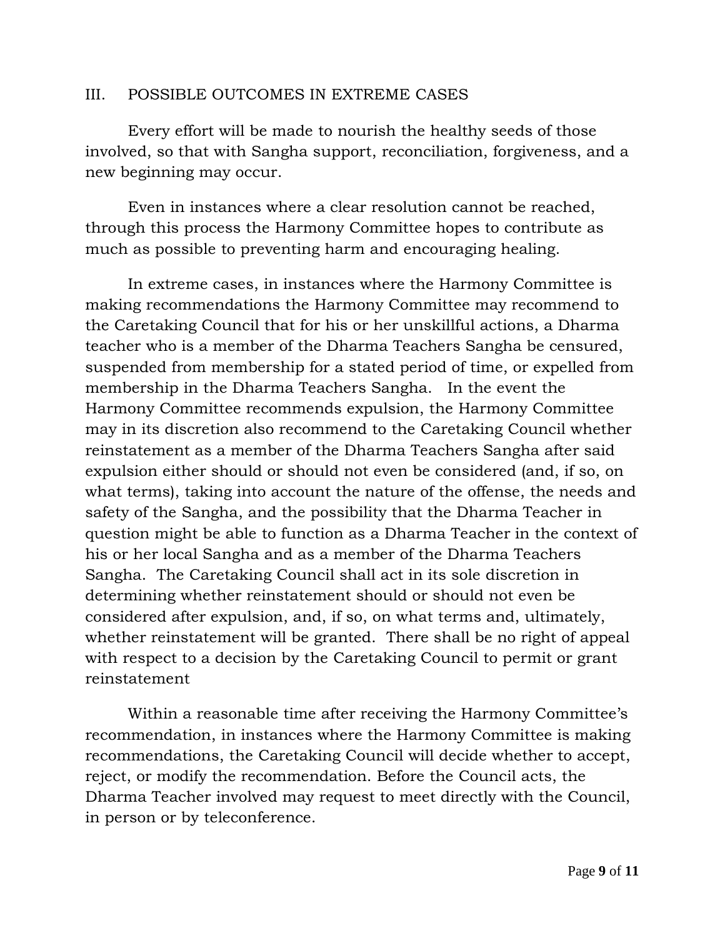#### <span id="page-8-0"></span>III. POSSIBLE OUTCOMES IN EXTREME CASES

Every effort will be made to nourish the healthy seeds of those involved, so that with Sangha support, reconciliation, forgiveness, and a new beginning may occur.

Even in instances where a clear resolution cannot be reached, through this process the Harmony Committee hopes to contribute as much as possible to preventing harm and encouraging healing.

In extreme cases, in instances where the Harmony Committee is making recommendations the Harmony Committee may recommend to the Caretaking Council that for his or her unskillful actions, a Dharma teacher who is a member of the Dharma Teachers Sangha be censured, suspended from membership for a stated period of time, or expelled from membership in the Dharma Teachers Sangha. In the event the Harmony Committee recommends expulsion, the Harmony Committee may in its discretion also recommend to the Caretaking Council whether reinstatement as a member of the Dharma Teachers Sangha after said expulsion either should or should not even be considered (and, if so, on what terms), taking into account the nature of the offense, the needs and safety of the Sangha, and the possibility that the Dharma Teacher in question might be able to function as a Dharma Teacher in the context of his or her local Sangha and as a member of the Dharma Teachers Sangha. The Caretaking Council shall act in its sole discretion in determining whether reinstatement should or should not even be considered after expulsion, and, if so, on what terms and, ultimately, whether reinstatement will be granted. There shall be no right of appeal with respect to a decision by the Caretaking Council to permit or grant reinstatement

Within a reasonable time after receiving the Harmony Committee's recommendation, in instances where the Harmony Committee is making recommendations, the Caretaking Council will decide whether to accept, reject, or modify the recommendation. Before the Council acts, the Dharma Teacher involved may request to meet directly with the Council, in person or by teleconference.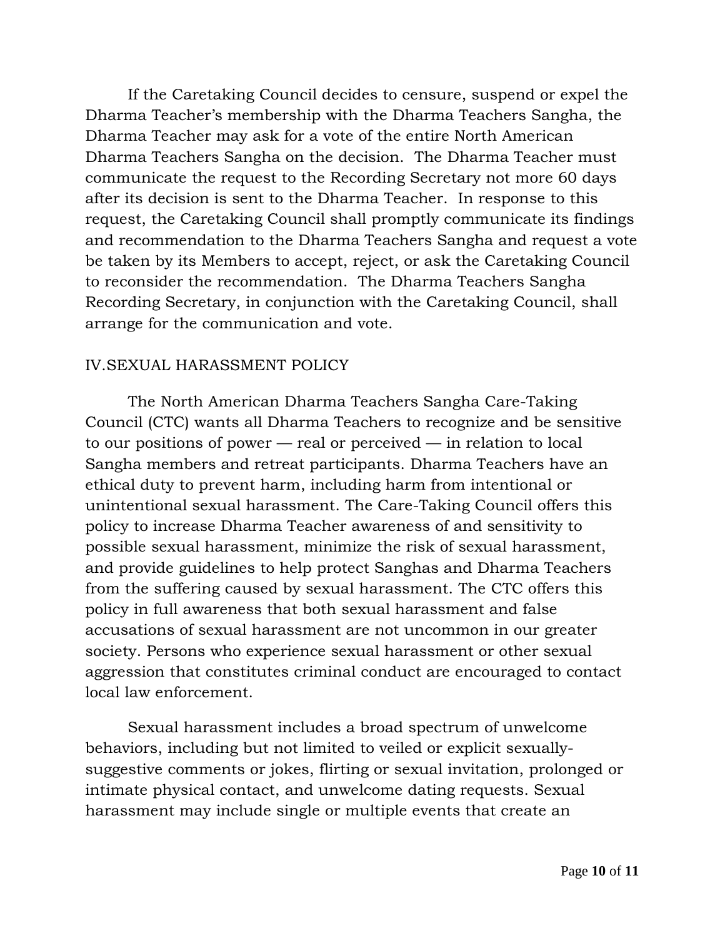If the Caretaking Council decides to censure, suspend or expel the Dharma Teacher's membership with the Dharma Teachers Sangha, the Dharma Teacher may ask for a vote of the entire North American Dharma Teachers Sangha on the decision. The Dharma Teacher must communicate the request to the Recording Secretary not more 60 days after its decision is sent to the Dharma Teacher. In response to this request, the Caretaking Council shall promptly communicate its findings and recommendation to the Dharma Teachers Sangha and request a vote be taken by its Members to accept, reject, or ask the Caretaking Council to reconsider the recommendation. The Dharma Teachers Sangha Recording Secretary, in conjunction with the Caretaking Council, shall arrange for the communication and vote.

#### <span id="page-9-0"></span>IV.SEXUAL HARASSMENT POLICY

The North American Dharma Teachers Sangha Care-Taking Council (CTC) wants all Dharma Teachers to recognize and be sensitive to our positions of power — real or perceived — in relation to local Sangha members and retreat participants. Dharma Teachers have an ethical duty to prevent harm, including harm from intentional or unintentional sexual harassment. The Care-Taking Council offers this policy to increase Dharma Teacher awareness of and sensitivity to possible sexual harassment, minimize the risk of sexual harassment, and provide guidelines to help protect Sanghas and Dharma Teachers from the suffering caused by sexual harassment. The CTC offers this policy in full awareness that both sexual harassment and false accusations of sexual harassment are not uncommon in our greater society. Persons who experience sexual harassment or other sexual aggression that constitutes criminal conduct are encouraged to contact local law enforcement.

Sexual harassment includes a broad spectrum of unwelcome behaviors, including but not limited to veiled or explicit sexuallysuggestive comments or jokes, flirting or sexual invitation, prolonged or intimate physical contact, and unwelcome dating requests. Sexual harassment may include single or multiple events that create an